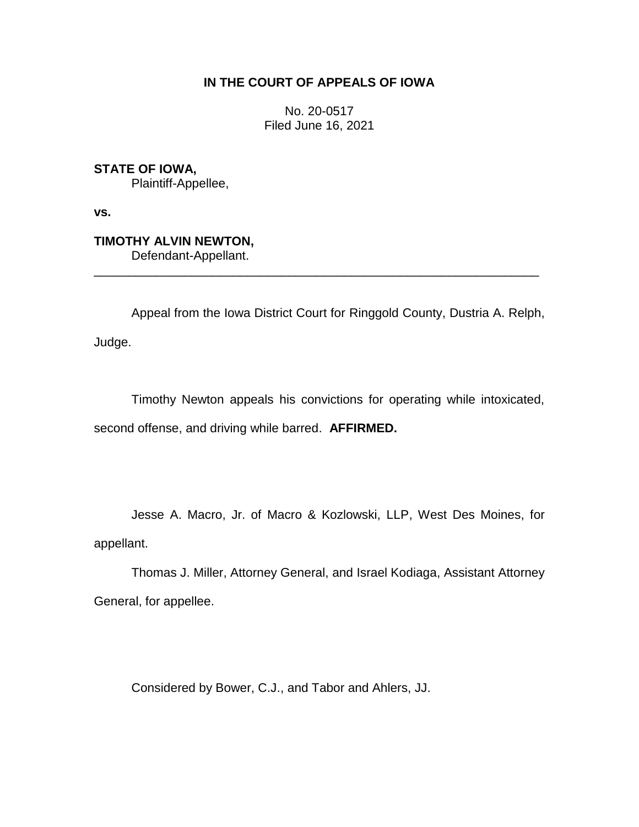## **IN THE COURT OF APPEALS OF IOWA**

No. 20-0517 Filed June 16, 2021

**STATE OF IOWA,** Plaintiff-Appellee,

**vs.**

**TIMOTHY ALVIN NEWTON,** Defendant-Appellant.

Appeal from the Iowa District Court for Ringgold County, Dustria A. Relph, Judge.

\_\_\_\_\_\_\_\_\_\_\_\_\_\_\_\_\_\_\_\_\_\_\_\_\_\_\_\_\_\_\_\_\_\_\_\_\_\_\_\_\_\_\_\_\_\_\_\_\_\_\_\_\_\_\_\_\_\_\_\_\_\_\_\_

Timothy Newton appeals his convictions for operating while intoxicated, second offense, and driving while barred. **AFFIRMED.**

Jesse A. Macro, Jr. of Macro & Kozlowski, LLP, West Des Moines, for appellant.

Thomas J. Miller, Attorney General, and Israel Kodiaga, Assistant Attorney General, for appellee.

Considered by Bower, C.J., and Tabor and Ahlers, JJ.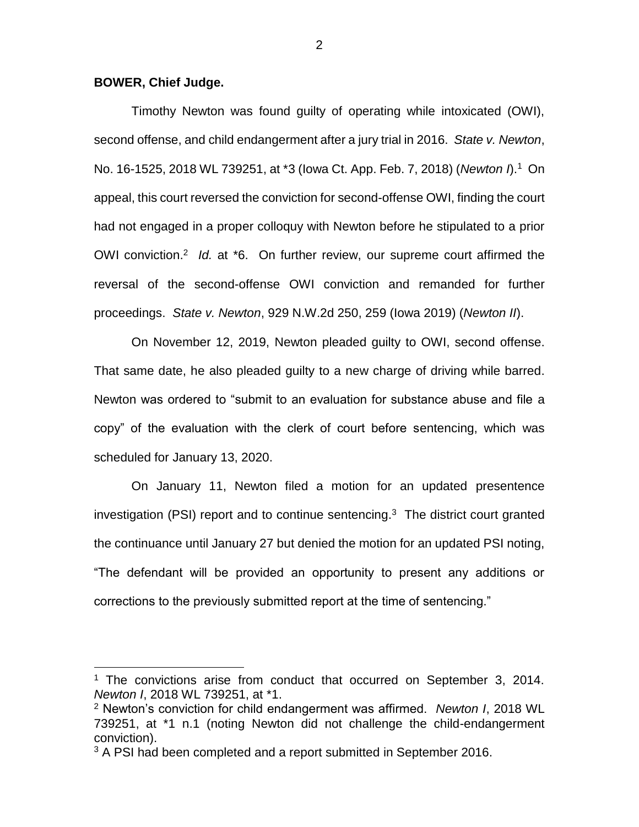## **BOWER, Chief Judge.**

 $\overline{a}$ 

Timothy Newton was found guilty of operating while intoxicated (OWI), second offense, and child endangerment after a jury trial in 2016. *State v. Newton*, No. 16-1525, 2018 WL 739251, at \*3 (Iowa Ct. App. Feb. 7, 2018) (*Newton I*).<sup>1</sup> On appeal, this court reversed the conviction for second-offense OWI, finding the court had not engaged in a proper colloquy with Newton before he stipulated to a prior OWI conviction.<sup>2</sup> Id. at \*6. On further review, our supreme court affirmed the reversal of the second-offense OWI conviction and remanded for further proceedings. *State v. Newton*, 929 N.W.2d 250, 259 (Iowa 2019) (*Newton II*).

On November 12, 2019, Newton pleaded guilty to OWI, second offense. That same date, he also pleaded guilty to a new charge of driving while barred. Newton was ordered to "submit to an evaluation for substance abuse and file a copy" of the evaluation with the clerk of court before sentencing, which was scheduled for January 13, 2020.

On January 11, Newton filed a motion for an updated presentence investigation (PSI) report and to continue sentencing. 3 The district court granted the continuance until January 27 but denied the motion for an updated PSI noting, "The defendant will be provided an opportunity to present any additions or corrections to the previously submitted report at the time of sentencing."

<sup>&</sup>lt;sup>1</sup> The convictions arise from conduct that occurred on September 3, 2014. *Newton I*, 2018 WL 739251, at \*1.

<sup>2</sup> Newton's conviction for child endangerment was affirmed. *Newton I*, 2018 WL 739251, at \*1 n.1 (noting Newton did not challenge the child-endangerment conviction).

<sup>&</sup>lt;sup>3</sup> A PSI had been completed and a report submitted in September 2016.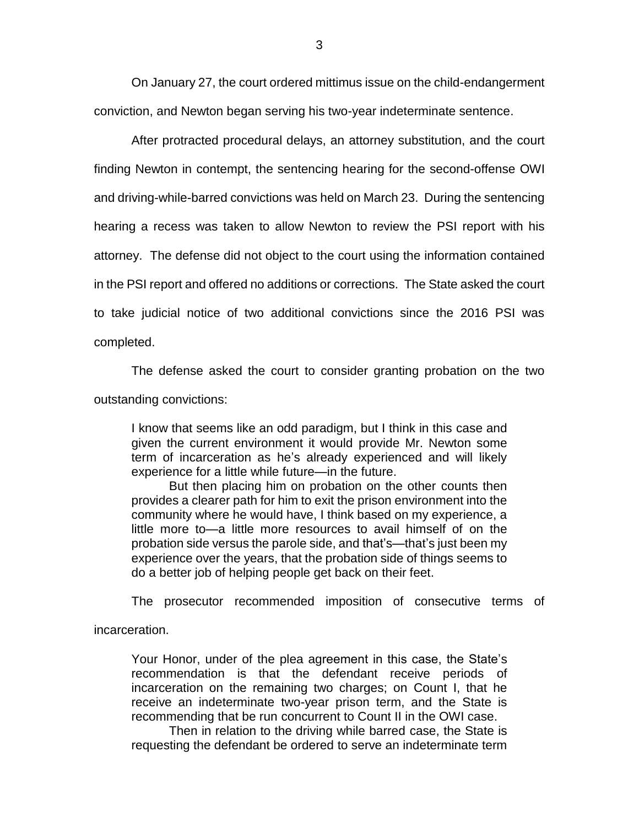On January 27, the court ordered mittimus issue on the child-endangerment conviction, and Newton began serving his two-year indeterminate sentence.

After protracted procedural delays, an attorney substitution, and the court finding Newton in contempt, the sentencing hearing for the second-offense OWI and driving-while-barred convictions was held on March 23. During the sentencing hearing a recess was taken to allow Newton to review the PSI report with his attorney. The defense did not object to the court using the information contained in the PSI report and offered no additions or corrections. The State asked the court to take judicial notice of two additional convictions since the 2016 PSI was completed.

The defense asked the court to consider granting probation on the two outstanding convictions:

I know that seems like an odd paradigm, but I think in this case and given the current environment it would provide Mr. Newton some term of incarceration as he's already experienced and will likely experience for a little while future—in the future.

But then placing him on probation on the other counts then provides a clearer path for him to exit the prison environment into the community where he would have, I think based on my experience, a little more to—a little more resources to avail himself of on the probation side versus the parole side, and that's—that's just been my experience over the years, that the probation side of things seems to do a better job of helping people get back on their feet.

The prosecutor recommended imposition of consecutive terms of

incarceration.

Your Honor, under of the plea agreement in this case, the State's recommendation is that the defendant receive periods of incarceration on the remaining two charges; on Count I, that he receive an indeterminate two-year prison term, and the State is recommending that be run concurrent to Count II in the OWI case.

Then in relation to the driving while barred case, the State is requesting the defendant be ordered to serve an indeterminate term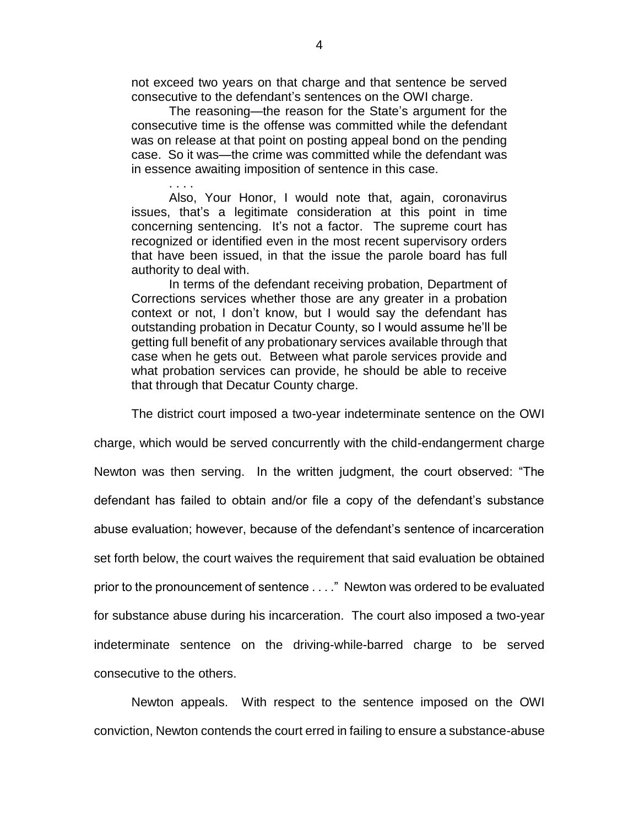not exceed two years on that charge and that sentence be served consecutive to the defendant's sentences on the OWI charge.

The reasoning—the reason for the State's argument for the consecutive time is the offense was committed while the defendant was on release at that point on posting appeal bond on the pending case. So it was—the crime was committed while the defendant was in essence awaiting imposition of sentence in this case.

. . . .

Also, Your Honor, I would note that, again, coronavirus issues, that's a legitimate consideration at this point in time concerning sentencing. It's not a factor. The supreme court has recognized or identified even in the most recent supervisory orders that have been issued, in that the issue the parole board has full authority to deal with.

In terms of the defendant receiving probation, Department of Corrections services whether those are any greater in a probation context or not, I don't know, but I would say the defendant has outstanding probation in Decatur County, so I would assume he'll be getting full benefit of any probationary services available through that case when he gets out. Between what parole services provide and what probation services can provide, he should be able to receive that through that Decatur County charge.

The district court imposed a two-year indeterminate sentence on the OWI

charge, which would be served concurrently with the child-endangerment charge Newton was then serving. In the written judgment, the court observed: "The defendant has failed to obtain and/or file a copy of the defendant's substance abuse evaluation; however, because of the defendant's sentence of incarceration set forth below, the court waives the requirement that said evaluation be obtained prior to the pronouncement of sentence . . . ." Newton was ordered to be evaluated for substance abuse during his incarceration. The court also imposed a two-year indeterminate sentence on the driving-while-barred charge to be served consecutive to the others.

Newton appeals. With respect to the sentence imposed on the OWI conviction, Newton contends the court erred in failing to ensure a substance-abuse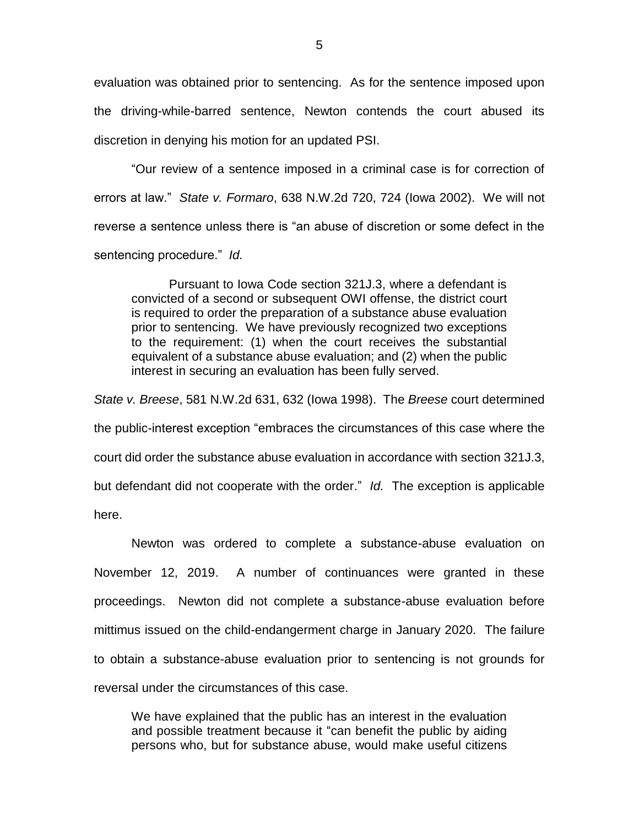evaluation was obtained prior to sentencing. As for the sentence imposed upon the driving-while-barred sentence, Newton contends the court abused its discretion in denying his motion for an updated PSI.

"Our review of a sentence imposed in a criminal case is for correction of errors at law." *State v. Formaro*, 638 N.W.2d 720, 724 (Iowa 2002). We will not reverse a sentence unless there is "an abuse of discretion or some defect in the sentencing procedure." *Id.*

Pursuant to Iowa Code section 321J.3, where a defendant is convicted of a second or subsequent OWI offense, the district court is required to order the preparation of a substance abuse evaluation prior to sentencing. We have previously recognized two exceptions to the requirement: (1) when the court receives the substantial equivalent of a substance abuse evaluation; and (2) when the public interest in securing an evaluation has been fully served.

*State v. Breese*, 581 N.W.2d 631, 632 (Iowa 1998). The *Breese* court determined the public-interest exception "embraces the circumstances of this case where the court did order the substance abuse evaluation in accordance with section 321J.3, but defendant did not cooperate with the order." *Id.* The exception is applicable here.

Newton was ordered to complete a substance-abuse evaluation on November 12, 2019. A number of continuances were granted in these proceedings. Newton did not complete a substance-abuse evaluation before mittimus issued on the child-endangerment charge in January 2020. The failure to obtain a substance-abuse evaluation prior to sentencing is not grounds for reversal under the circumstances of this case.

We have explained that the public has an interest in the evaluation and possible treatment because it "can benefit the public by aiding persons who, but for substance abuse, would make useful citizens